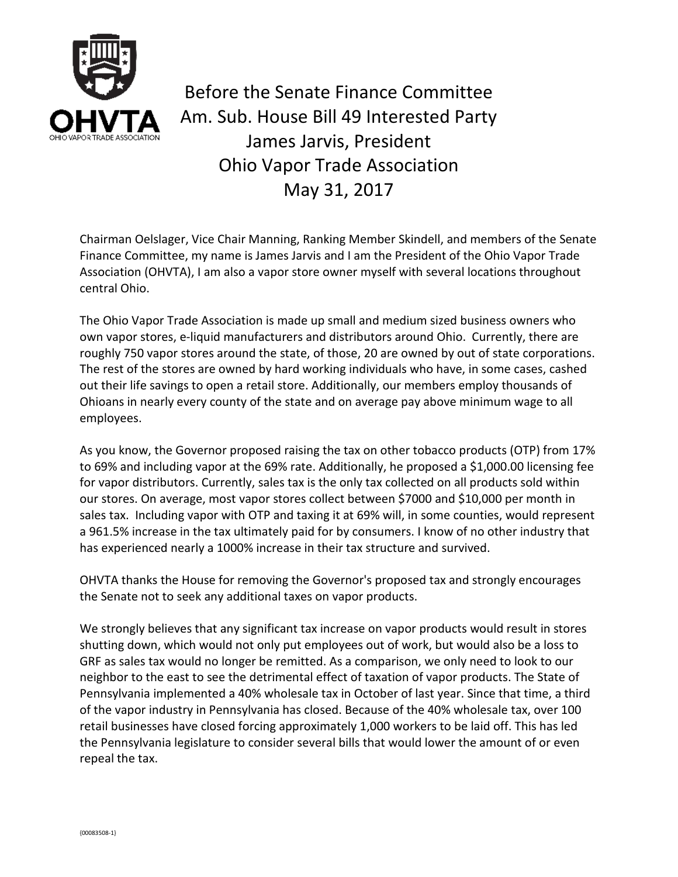

Before the Senate Finance Committee Am. Sub. House Bill 49 Interested Party James Jarvis, President Ohio Vapor Trade Association May 31, 2017

Chairman Oelslager, Vice Chair Manning, Ranking Member Skindell, and members of the Senate Finance Committee, my name is James Jarvis and I am the President of the Ohio Vapor Trade Association (OHVTA), I am also a vapor store owner myself with several locations throughout central Ohio.

The Ohio Vapor Trade Association is made up small and medium sized business owners who own vapor stores, e-liquid manufacturers and distributors around Ohio. Currently, there are roughly 750 vapor stores around the state, of those, 20 are owned by out of state corporations. The rest of the stores are owned by hard working individuals who have, in some cases, cashed out their life savings to open a retail store. Additionally, our members employ thousands of Ohioans in nearly every county of the state and on average pay above minimum wage to all employees.

As you know, the Governor proposed raising the tax on other tobacco products (OTP) from 17% to 69% and including vapor at the 69% rate. Additionally, he proposed a \$1,000.00 licensing fee for vapor distributors. Currently, sales tax is the only tax collected on all products sold within our stores. On average, most vapor stores collect between \$7000 and \$10,000 per month in sales tax. Including vapor with OTP and taxing it at 69% will, in some counties, would represent a 961.5% increase in the tax ultimately paid for by consumers. I know of no other industry that has experienced nearly a 1000% increase in their tax structure and survived.

OHVTA thanks the House for removing the Governor's proposed tax and strongly encourages the Senate not to seek any additional taxes on vapor products.

We strongly believes that any significant tax increase on vapor products would result in stores shutting down, which would not only put employees out of work, but would also be a loss to GRF as sales tax would no longer be remitted. As a comparison, we only need to look to our neighbor to the east to see the detrimental effect of taxation of vapor products. The State of Pennsylvania implemented a 40% wholesale tax in October of last year. Since that time, a third of the vapor industry in Pennsylvania has closed. Because of the 40% wholesale tax, over 100 retail businesses have closed forcing approximately 1,000 workers to be laid off. This has led the Pennsylvania legislature to consider several bills that would lower the amount of or even repeal the tax.